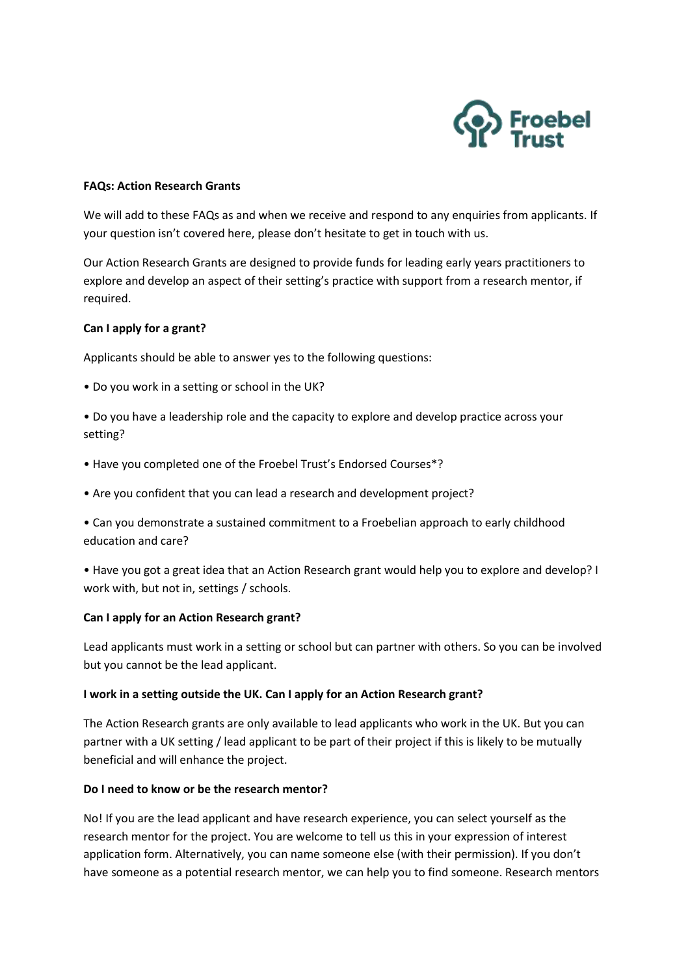

#### **FAQs: Action Research Grants**

We will add to these FAQs as and when we receive and respond to any enquiries from applicants. If your question isn't covered here, please don't hesitate to get in touch with us.

Our Action Research Grants are designed to provide funds for leading early years practitioners to explore and develop an aspect of their setting's practice with support from a research mentor, if required.

### **Can I apply for a grant?**

Applicants should be able to answer yes to the following questions:

- Do you work in a setting or school in the UK?
- Do you have a leadership role and the capacity to explore and develop practice across your setting?
- Have you completed one of the Froebel Trust's Endorsed Courses\*?
- Are you confident that you can lead a research and development project?
- Can you demonstrate a sustained commitment to a Froebelian approach to early childhood education and care?
- Have you got a great idea that an Action Research grant would help you to explore and develop? I work with, but not in, settings / schools.

# **Can I apply for an Action Research grant?**

Lead applicants must work in a setting or school but can partner with others. So you can be involved but you cannot be the lead applicant.

#### **I work in a setting outside the UK. Can I apply for an Action Research grant?**

The Action Research grants are only available to lead applicants who work in the UK. But you can partner with a UK setting / lead applicant to be part of their project if this is likely to be mutually beneficial and will enhance the project.

#### **Do I need to know or be the research mentor?**

No! If you are the lead applicant and have research experience, you can select yourself as the research mentor for the project. You are welcome to tell us this in your expression of interest application form. Alternatively, you can name someone else (with their permission). If you don't have someone as a potential research mentor, we can help you to find someone. Research mentors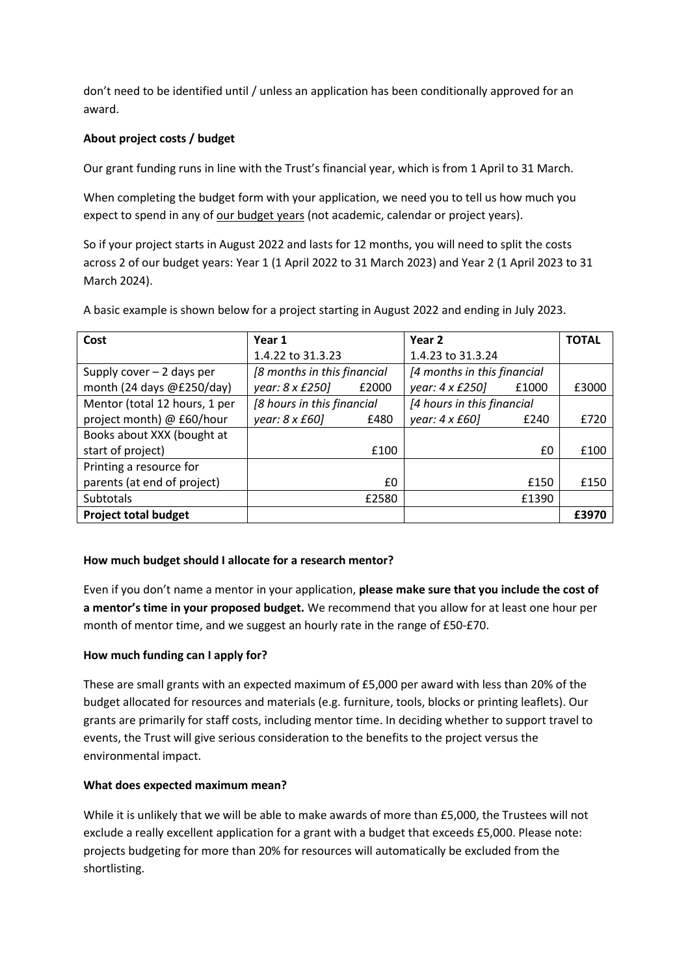don't need to be identified until / unless an application has been conditionally approved for an award.

# **About project costs / budget**

Our grant funding runs in line with the Trust's financial year, which is from 1 April to 31 March.

When completing the budget form with your application, we need you to tell us how much you expect to spend in any of our budget years (not academic, calendar or project years).

So if your project starts in August 2022 and lasts for 12 months, you will need to split the costs across 2 of our budget years: Year 1 (1 April 2022 to 31 March 2023) and Year 2 (1 April 2023 to 31 March 2024).

A basic example is shown below for a project starting in August 2022 and ending in July 2023.

| Cost                          | Year 1                      |       | Year 2                      |       | <b>TOTAL</b> |
|-------------------------------|-----------------------------|-------|-----------------------------|-------|--------------|
|                               | 1.4.22 to 31.3.23           |       | 1.4.23 to 31.3.24           |       |              |
| Supply cover $-2$ days per    | [8 months in this financial |       | [4 months in this financial |       |              |
| month (24 days @£250/day)     | year: 8 x £250]             | £2000 | year: 4 x £250]             | £1000 | £3000        |
| Mentor (total 12 hours, 1 per | [8 hours in this financial  |       | [4 hours in this financial  |       |              |
| project month) @ £60/hour     | year: $8 \times £60$ ]      | £480  | year: $4 \times £60$ ]      | £240  | £720         |
| Books about XXX (bought at    |                             |       |                             |       |              |
| start of project)             |                             | £100  |                             | £0    | £100         |
| Printing a resource for       |                             |       |                             |       |              |
| parents (at end of project)   |                             | £0    |                             | £150  | £150         |
| <b>Subtotals</b>              |                             | £2580 |                             | £1390 |              |
| <b>Project total budget</b>   |                             |       |                             |       | £3970        |

# **How much budget should I allocate for a research mentor?**

Even if you don't name a mentor in your application, **please make sure that you include the cost of a mentor's time in your proposed budget.** We recommend that you allow for at least one hour per month of mentor time, and we suggest an hourly rate in the range of £50-£70.

# **How much funding can I apply for?**

These are small grants with an expected maximum of £5,000 per award with less than 20% of the budget allocated for resources and materials (e.g. furniture, tools, blocks or printing leaflets). Our grants are primarily for staff costs, including mentor time. In deciding whether to support travel to events, the Trust will give serious consideration to the benefits to the project versus the environmental impact.

# **What does expected maximum mean?**

While it is unlikely that we will be able to make awards of more than £5,000, the Trustees will not exclude a really excellent application for a grant with a budget that exceeds £5,000. Please note: projects budgeting for more than 20% for resources will automatically be excluded from the shortlisting.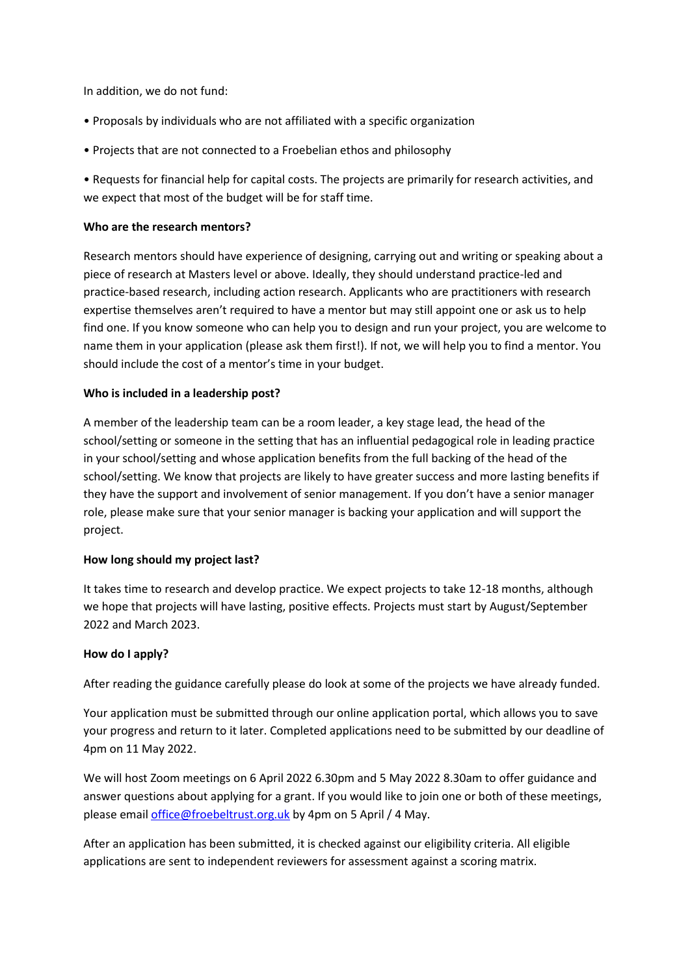In addition, we do not fund:

- Proposals by individuals who are not affiliated with a specific organization
- Projects that are not connected to a Froebelian ethos and philosophy

• Requests for financial help for capital costs. The projects are primarily for research activities, and we expect that most of the budget will be for staff time.

#### **Who are the research mentors?**

Research mentors should have experience of designing, carrying out and writing or speaking about a piece of research at Masters level or above. Ideally, they should understand practice-led and practice-based research, including action research. Applicants who are practitioners with research expertise themselves aren't required to have a mentor but may still appoint one or ask us to help find one. If you know someone who can help you to design and run your project, you are welcome to name them in your application (please ask them first!). If not, we will help you to find a mentor. You should include the cost of a mentor's time in your budget.

### **Who is included in a leadership post?**

A member of the leadership team can be a room leader, a key stage lead, the head of the school/setting or someone in the setting that has an influential pedagogical role in leading practice in your school/setting and whose application benefits from the full backing of the head of the school/setting. We know that projects are likely to have greater success and more lasting benefits if they have the support and involvement of senior management. If you don't have a senior manager role, please make sure that your senior manager is backing your application and will support the project.

#### **How long should my project last?**

It takes time to research and develop practice. We expect projects to take 12-18 months, although we hope that projects will have lasting, positive effects. Projects must start by August/September 2022 and March 2023.

#### **How do I apply?**

After reading the guidance carefully please do look at some of the projects we have already funded.

Your application must be submitted through our online application portal, which allows you to save your progress and return to it later. Completed applications need to be submitted by our deadline of 4pm on 11 May 2022.

We will host Zoom meetings on 6 April 2022 6.30pm and 5 May 2022 8.30am to offer guidance and answer questions about applying for a grant. If you would like to join one or both of these meetings, please email *office@froebeltrust.org.uk* by 4pm on 5 April / 4 May.

After an application has been submitted, it is checked against our eligibility criteria. All eligible applications are sent to independent reviewers for assessment against a scoring matrix.